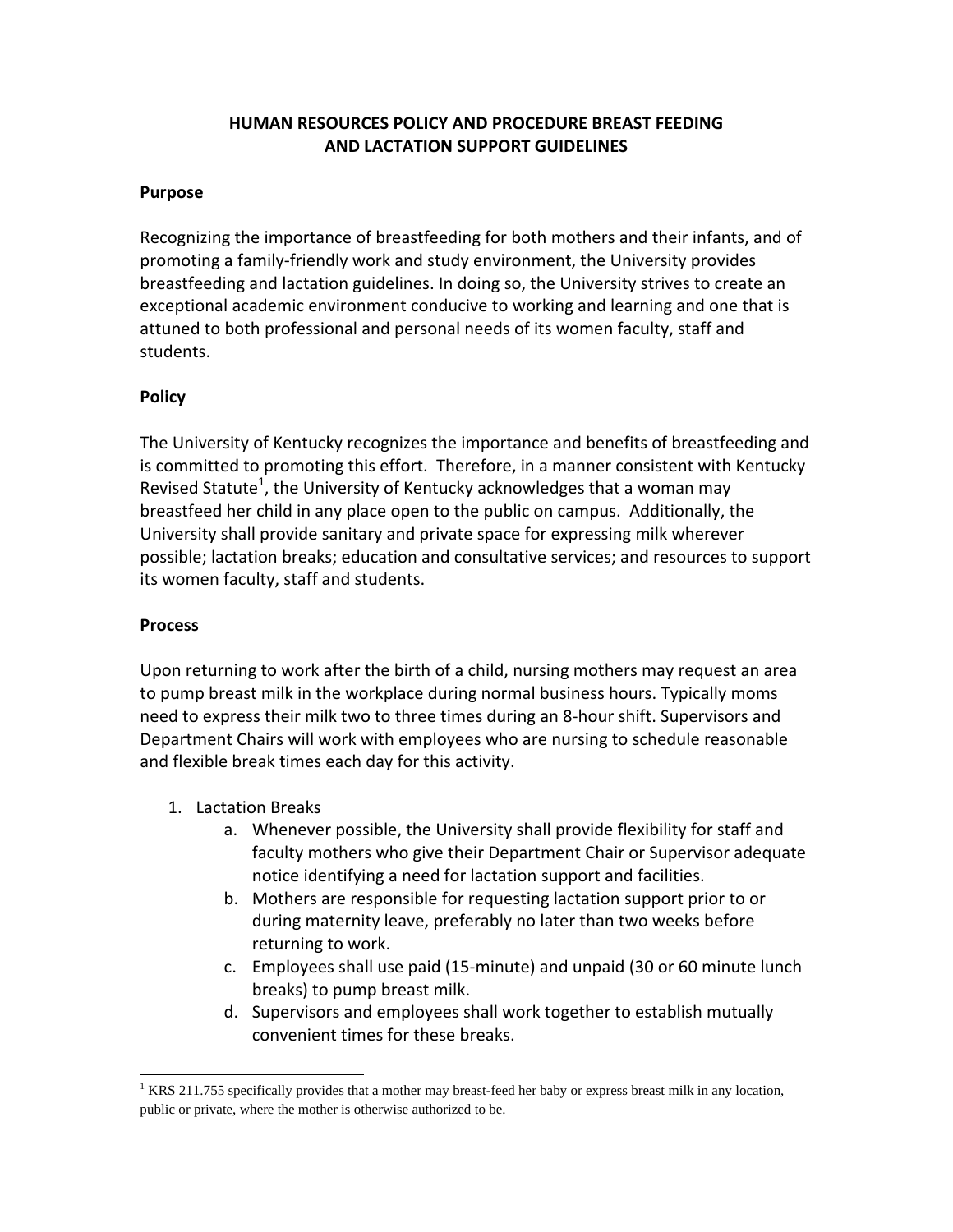## **HUMAN RESOURCES POLICY AND PROCEDURE BREAST FEEDING AND LACTATION SUPPORT GUIDELINES**

## **Purpose**

Recognizing the importance of breastfeeding for both mothers and their infants, and of promoting a family‐friendly work and study environment, the University provides breastfeeding and lactation guidelines. In doing so, the University strives to create an exceptional academic environment conducive to working and learning and one that is attuned to both professional and personal needs of its women faculty, staff and students.

## **Policy**

The University of Kentucky recognizes the importance and benefits of breastfeeding and is committed to promoting this effort. Therefore, in a manner consistent with Kentucky Revised Statute<sup>1</sup>, the University of Kentucky acknowledges that a woman may breastfeed her child in any place open to the public on campus. Additionally, the University shall provide sanitary and private space for expressing milk wherever possible; lactation breaks; education and consultative services; and resources to support its women faculty, staff and students.

## **Process**

Upon returning to work after the birth of a child, nursing mothers may request an area to pump breast milk in the workplace during normal business hours. Typically moms need to express their milk two to three times during an 8‐hour shift. Supervisors and Department Chairs will work with employees who are nursing to schedule reasonable and flexible break times each day for this activity.

- 1. Lactation Breaks
	- a. Whenever possible, the University shall provide flexibility for staff and faculty mothers who give their Department Chair or Supervisor adequate notice identifying a need for lactation support and facilities.
	- b. Mothers are responsible for requesting lactation support prior to or during maternity leave, preferably no later than two weeks before returning to work.
	- c. Employees shall use paid (15‐minute) and unpaid (30 or 60 minute lunch breaks) to pump breast milk.
	- d. Supervisors and employees shall work together to establish mutually convenient times for these breaks.

  $1$  KRS 211.755 specifically provides that a mother may breast-feed her baby or express breast milk in any location, public or private, where the mother is otherwise authorized to be.